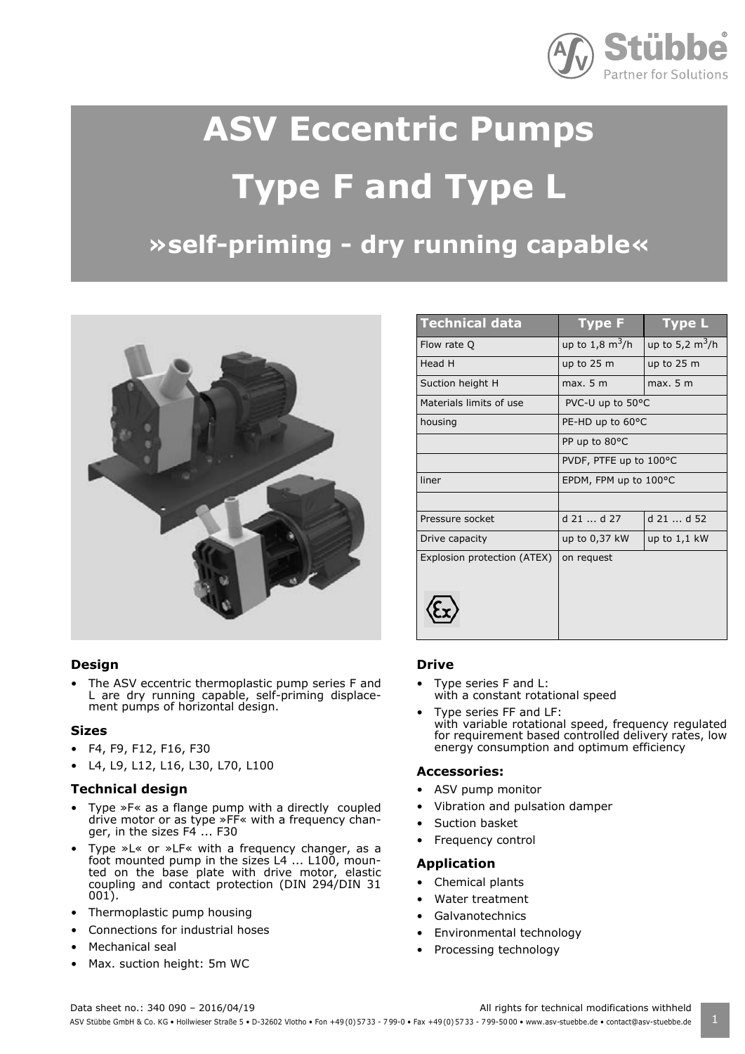

# **ASV Eccentric Pumps Type F and Type L**

# **»self-priming - dry running capable«**



#### **Design**

• The ASV eccentric thermoplastic pump series F and L are dry running capable, self-priming displacement pumps of horizontal design.

#### **Sizes**

- $\cdot$  F4, F9, F12, F16, F30
- L4, L9, L12, L16, L30, L70, L100

#### **Technical design**

- Type »F« as a flange pump with a directly coupled drive motor or as type »FF« with a frequency changer, in the sizes  $F4$  ... F30
- Type »L« or »LF« with a frequency changer, as a foot mounted pump in the sizes  $L4$  ...  $L100$ , mounted on the base plate with drive motor, elastic coupling and contact protection (DIN 294/DIN 31 001).
- Thermoplastic pump housing
- Connections for industrial hoses
- Mechanical seal
- Max. suction height: 5m WC

| <b>Technical data</b>       | <b>Type F</b>             | <b>Type L</b>                   |
|-----------------------------|---------------------------|---------------------------------|
| Flow rate Q                 | up to $1,8 \text{ m}^3/h$ | up to 5,2 $\text{m}^3/\text{h}$ |
| Head H                      | up to $25 \text{ m}$      | up to $25 \text{ m}$            |
| Suction height H            | max. 5 m                  | max. 5 m                        |
| Materials limits of use     | PVC-U up to 50°C          |                                 |
| housing                     | PE-HD up to 60°C          |                                 |
|                             | PP up to 80°C             |                                 |
|                             | PVDF, PTFE up to 100°C    |                                 |
| liner                       | EPDM, FPM up to 100°C     |                                 |
|                             |                           |                                 |
| Pressure socket             | $d$ 21 $d$ 27             | d 21  d 52                      |
| Drive capacity              | up to 0,37 kW             | up to $1,1$ kW                  |
| Explosion protection (ATEX) | on request                |                                 |
|                             |                           |                                 |
|                             |                           |                                 |
|                             |                           |                                 |

#### **Drive**

- Type series F and L: with a constant rotational speed
- Type series FF and LF: with variable rotational speed, frequency regulated for requirement based controlled delivery rates, low energy consumption and optimum efficiency

#### **Accessories:**

- ASV pump monitor
- Vibration and pulsation damper
- Suction basket
- Frequency control

#### **Application**

- Chemical plants
- Water treatment
- **Galvanotechnics**
- Environmental technology
- Processing technology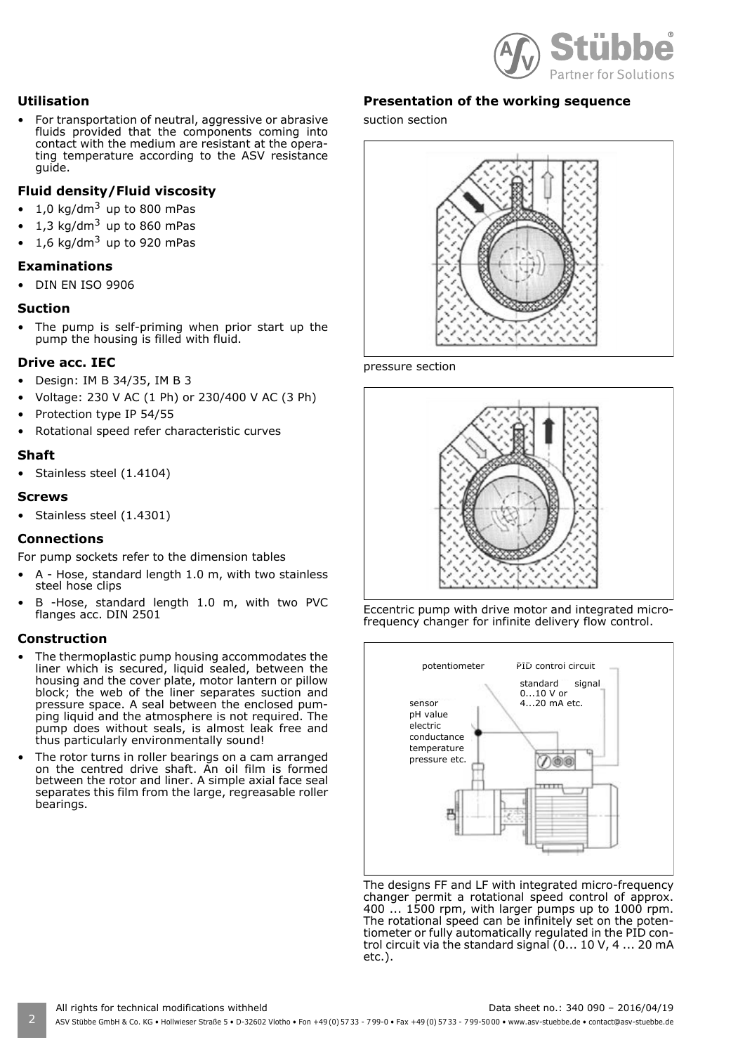

#### **Utilisation**

For transportation of neutral, aggressive or abrasive fluids provided that the components coming into contact with the medium are resistant at the operating temperature according to the ASV resistance guide.

#### **Fluid density/Fluid viscosity**

- $\cdot$  1,0 kg/dm<sup>3</sup> up to 800 mPas
- 1,3 kg/dm $3$  up to 860 mPas
- 1,6 kg/dm<sup>3</sup> up to 920 mPas

#### **Examinations**

• DIN EN ISO 9906

#### **Suction**

The pump is self-priming when prior start up the pump the housing is filled with fluid.

#### **Drive acc. IEC**

- $\bullet$  Design: IM B 34/35, IM B 3
- ï Voltage: 230 V AC (1 Ph) or 230/400 V AC (3 Ph)
- Protection type IP 54/55
- Rotational speed refer characteristic curves

#### **Shaft**

• Stainless steel (1.4104)

#### **Screws**

• Stainless steel (1.4301)

#### **Connections**

For pump sockets refer to the dimension tables

- A Hose, standard length 1.0 m, with two stainless steel hose clips
- B -Hose, standard length 1.0 m, with two PVC flanges acc. DIN 2501

#### **Construction**

- The thermoplastic pump housing accommodates the liner which is secured, liquid sealed, between the housing and the cover plate, motor lantern or pillow block; the web of the liner separates suction and pressure space. A seal between the enclosed pumping liquid and the atmosphere is not required. The pump does without seals, is almost leak free and thus particularly environmentally sound!
- The rotor turns in roller bearings on a cam arranged on the centred drive shaft. An oil film is formed between the rotor and liner. A simple axial face seal separates this film from the large, regreasable roller bearings.

#### **Presentation of the working sequence**

suction section



pressure section







The designs FF and LF with integrated micro-frequency changer permit a rotational speed control of approx. 400 ... 1500 rpm, with larger pumps up to 1000 rpm. The rotational speed can be infinitely set on the potentiometer or fully automatically regulated in the PID control circuit via the standard signal (0... 10 V, 4 ... 20 mA etc.).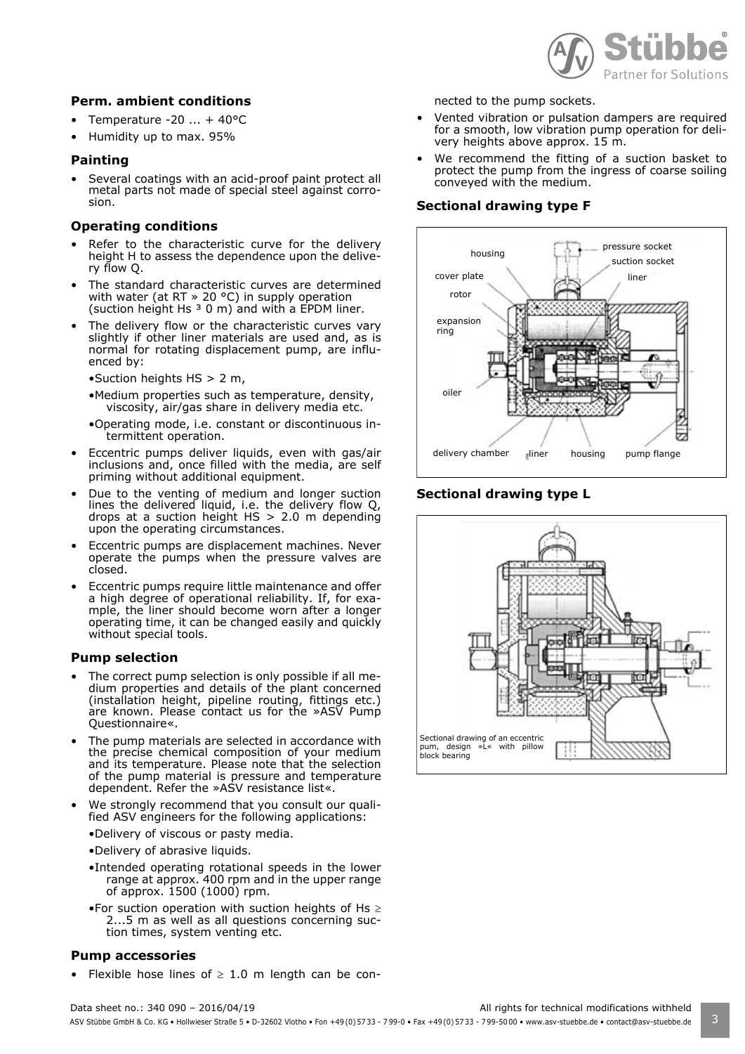

#### **Perm. ambient conditions**

- Temperature -20  $\dots$  + 40°C
- Humidity up to max. 95%

#### **Painting**

Several coatings with an acid-proof paint protect all metal parts not made of special steel against corrosion.

#### **Operating conditions**

- Refer to the characteristic curve for the delivery height H to assess the dependence upon the delivery flow Q.
- The standard characteristic curves are determined with water (at RT » 20 °C) in supply operation (suction height Hs  $3$  0 m) and with a EPDM liner.
- The delivery flow or the characteristic curves vary slightly if other liner materials are used and, as is normal for rotating displacement pump, are influenced by:
	- $\bullet$ Suction heights HS > 2 m,
	- •Medium properties such as temperature, density, viscosity, air/gas share in delivery media etc.
	- ïOperating mode, i.e. constant or discontinuous intermittent operation.
- Eccentric pumps deliver liquids, even with gas/air inclusions and, once filled with the media, are self priming without additional equipment.
- Due to the venting of medium and longer suction lines the delivered liquid, i.e. the delivery flow Q, drops at a suction height HS > 2.0 m depending upon the operating circumstances.
- Eccentric pumps are displacement machines. Never operate the pumps when the pressure valves are closed.
- Eccentric pumps require little maintenance and offer a high degree of operational reliability. If, for example, the liner should become worn after a longer operating time, it can be changed easily and quickly without special tools.

#### **Pump selection**

- The correct pump selection is only possible if all medium properties and details of the plant concerned (installation height, pipeline routing, fittings etc.) are known. Please contact us for the »ASV Pump Questionnaire«.
- The pump materials are selected in accordance with the precise chemical composition of your medium and its temperature. Please note that the selection of the pump material is pressure and temperature dependent. Refer the »ASV resistance list«.
- We strongly recommend that you consult our qualified ASV engineers for the following applications:
	- •Delivery of viscous or pasty media.
	- •Delivery of abrasive liquids.
	- •Intended operating rotational speeds in the lower range at approx. 400 rpm and in the upper range of approx. 1500 (1000) rpm.
	- For suction operation with suction heights of Hs  $\geq$ 2...5 m as well as all questions concerning suction times, system venting etc.

#### **Pump accessories**

Flexible hose lines of  $\geq 1.0$  m length can be con-

nected to the pump sockets.

- Vented vibration or pulsation dampers are required for a smooth, low vibration pump operation for delivery heights above approx. 15 m.
- We recommend the fitting of a suction basket to protect the pump from the ingress of coarse soiling conveyed with the medium.

#### **Sectional drawing type F**



#### **Sectional drawing type L**

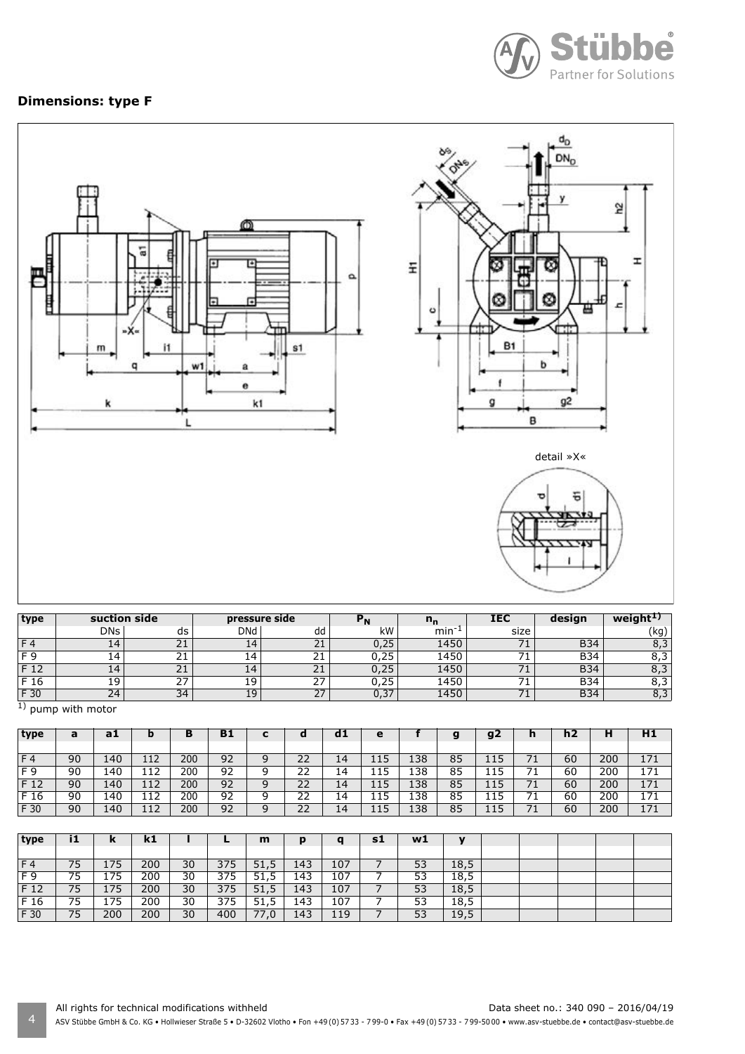

### **Dimensions: type F**



| type | suction side |                   | pressure side |          |      |      | <b>IEC</b> | design     | weigh       |
|------|--------------|-------------------|---------------|----------|------|------|------------|------------|-------------|
|      | <b>DNs</b>   | ds                | <b>DNd</b>    | dd       | kW   | min  | size       |            | (kg)        |
|      | 14           | n.<br>$\sim$ 1    | 14            | 21       | 0,25 | 1450 |            | <b>B34</b> | د,ه         |
| EΩ   | 14 I         | <b>.</b>          | 14            | า ฯ<br>ᅀ | 0,25 | 1450 |            | <b>B34</b> | ບ,ບ         |
| F 12 | 14           | n.,<br><u>zi</u>  | 14            | 21       | 0,25 | 1450 |            | <b>B34</b> | o p<br>o, J |
| F 16 | 19           | $\sim$ $-$<br>. ے | 19            | 27       | 0,25 | 1450 |            | <b>B34</b> | 8,3         |
| F 30 | 24           | 34                | 19            | 27       | J,37 | 1450 |            | B34        | 8,3         |

<sup>1</sup>) pump with motor

| type     | a  | a1  |     | в   | Β1 | -<br>u | $\mathbf C$   | d1              | е   |     | a<br>ю | g2           | "  | h2 | н   | H1  |
|----------|----|-----|-----|-----|----|--------|---------------|-----------------|-----|-----|--------|--------------|----|----|-----|-----|
|          |    |     |     |     |    |        |               |                 |     |     |        |              |    |    |     |     |
| F4       | 90 | 140 | 112 | 200 | 92 | q      | 22            | 14              | 115 | 138 | 85     | 1 1 5<br>ᆠᆠ  |    | 60 | 200 | 171 |
| F 9      | 90 | 140 | 112 | 200 | 92 | a      | າາ<br>∠∠      | 14              | 115 | 138 | 85     | 1 1 5<br>115 |    | 60 | 200 | 171 |
| F 12     | 90 | 140 | 112 | 200 | 92 | 9      | 22            | 14              | 115 | 138 | 85     | 115          | 71 | 60 | 200 | 171 |
| $F_{16}$ | 90 | 140 | 112 | 200 | 92 |        | $\lnot$<br>22 | 14              | 115 | 138 | 85     | 1 I K<br>ᆠᆠ  |    | 60 | 200 | 171 |
| F 30     | 90 | 140 | 112 | 200 | 92 | q      | 22            | $\overline{14}$ | 115 | 138 | 85     | 115<br>ᆠᆠ    |    | 60 | 200 | 171 |

| type           | i1 | ĸ   | k1  |    |     | m    | p   | a   | s1 | w1 | $\mathbf{v}$ |  |  |  |
|----------------|----|-----|-----|----|-----|------|-----|-----|----|----|--------------|--|--|--|
|                |    |     |     |    |     |      |     |     |    |    |              |  |  |  |
| F <sub>4</sub> | 75 | 175 | 200 | 30 | 375 | 51,5 | 143 | 107 |    | 53 | 18,5         |  |  |  |
| F 9            | 75 | 175 | 200 | 30 | 375 | 51,5 | 143 | 107 |    | 53 | 18,5         |  |  |  |
| F 12           | 75 | 175 | 200 | 30 | 375 | 51,5 | 143 | 107 |    | 53 | 18,5         |  |  |  |
| F 16           | 75 | 175 | 200 | 30 | 375 | 51,5 | 143 | 107 |    | 53 | 18,5         |  |  |  |
| F 30           | 75 | 200 | 200 | 30 | 400 | 77,0 | 143 | 119 |    | 53 | 19,5         |  |  |  |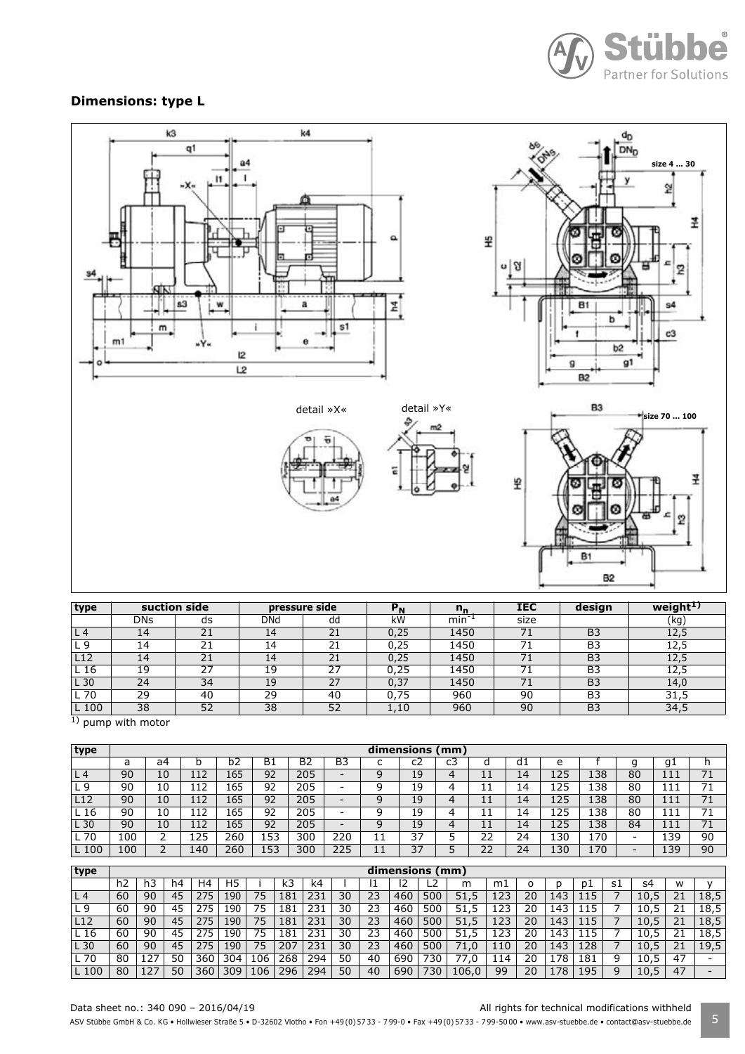

# **Dimensions: type L**



| type            |            | suction side | pressure side |    | rΝ   | $n_{\rm n}$ | <b>IEC</b> | design         | weight <sup>1)</sup> |
|-----------------|------------|--------------|---------------|----|------|-------------|------------|----------------|----------------------|
|                 | <b>DNs</b> | ds           | DNd           | dd | kW   | $min^{-1}$  | size       |                | (kg)                 |
| L 4             | 14         | 21           | 14            | 21 | 0.25 | 1450        | 71         | B <sub>3</sub> | 12,5                 |
| - 9             | 14         | 21           | 14            | 21 | 0.25 | 1450        |            | B <sub>3</sub> | 12,5                 |
| L <sub>12</sub> | 14         | 21           | 14            | 21 | 0,25 | 1450        |            | B <sub>3</sub> | 12,5                 |
| L 16            | 19         | 27           | 19            | 27 | 0.25 | 1450        |            | B <sub>3</sub> | 12,5                 |
| L 30            | 24         | 34           | 19            | 27 | 0,37 | 1450        | 71         | B <sub>3</sub> | 14.0                 |
| . 70            | 29         | 40           | 29            | 40 | 0.75 | 960         | 90         | B <sub>3</sub> | 31,5                 |
| . 100           | 38         | 52           | 38            | 52 | 1,10 | 960         | 90         | B <sub>3</sub> | 34,5                 |

 $\overline{1}$ ) pump with motor

| type            | dimensions (mm) |    |     |     |           |     |     |  |    |    |           |    |     |     |    |     |    |
|-----------------|-----------------|----|-----|-----|-----------|-----|-----|--|----|----|-----------|----|-----|-----|----|-----|----|
|                 | a               | a4 | b   | b2  | <b>B1</b> | B2  | B3  |  | c2 | c3 | u         | d1 | e   |     |    | g1  | h  |
| L <sub>4</sub>  | 90              | 10 | 112 | 165 | 92        | 205 | -   |  | 19 | 4  | <b>++</b> | 14 | 125 | 138 | 80 |     |    |
| L9              | 90              | 10 | 112 | 165 | 92        | 205 | -   |  | 19 | ⊿  | ᆠᆠ        | 14 | 125 | 138 | 80 | 111 |    |
| L12             | 90              | 10 | 112 | 165 | 92        | 205 | -   |  | 19 | 4  | ا ا<br>ᆠ  | 14 | 125 | 138 | 80 | 111 | 71 |
| L <sub>16</sub> | 90              | 10 | 112 | 165 | 92        | 205 | -   |  | 19 | 4  | ا ا<br>ᆠ  | 14 | 125 | 138 | 80 | 111 |    |
| L 30            | 90              | 10 | 112 | 165 | 92        | 205 | -   |  | 19 | 4  | 11<br>ᆠ   | 14 | 125 | 138 | 84 | 111 | 71 |
| L 70            | 100             | ∸  | 125 | 260 | 153       | 300 | 220 |  | 37 |    | 22        | 24 | 130 | 170 | -  | 139 | 90 |
| L 100           | 100             |    | 140 | 260 | 153       | 300 | 225 |  | 37 |    | 22        | 24 | 130 | 170 | -  | 139 | 90 |

| type            |    |     |    |     |     |     |     |     |    |    | dimensions (mm) |                  |          |            |    |     |     |    |      |    |      |
|-----------------|----|-----|----|-----|-----|-----|-----|-----|----|----|-----------------|------------------|----------|------------|----|-----|-----|----|------|----|------|
|                 | h2 |     | h4 | H4  | H5  |     | k3  | k4  |    |    |                 |                  | m        | mı         |    |     | D1  | s1 | s4   | w  |      |
| L <sub>4</sub>  | 60 | 90  | 45 | 275 | 190 | 75  | 181 | 231 | 30 | 23 | 460             | 500              | .5<br>51 | 123        | 20 | 143 | 15  |    | 10.5 | 21 | 18,5 |
| L 9             | 60 | 90  | 45 | 275 | 190 | 75  | 181 | 231 | 30 | 23 | 460             | 500              | 51       | 23         | 20 | 143 |     |    | 10.5 | 21 | 18.5 |
| L12             | 60 | 90  | 45 | 275 | 190 | 75  | 181 | 231 | 30 | 23 | 460             | 500              | 51       | 123        | 20 | 143 | 115 |    | 10.5 | 21 | 18,5 |
| L <sub>16</sub> | 60 | 90  | 45 | 275 | 90ء | 75  | 181 | 231 | 30 | 23 | 460             | 500              | 51<br>5. | <b>123</b> | 20 | 143 | -5  |    | 10.5 | 21 | 18.5 |
| L 30            | 60 | 90  | 45 | 275 | 190 | 75  | 207 | 231 | 30 | 23 | 460             | 500              | 71.0     | 110        | 20 | 143 | 128 |    | 10.5 | 21 | 19,5 |
| $L$ 70          | 80 | 127 | 50 | 360 | 304 | 106 | 268 | 294 | 50 | 40 | 690             | 730 <sub>1</sub> | .0       | 14         | 20 | 178 | 181 | 9  | 10,5 | 47 |      |
| L 100           | 80 |     | 50 | 360 | 309 | 106 | 296 | 294 | 50 | 40 | 690             | '30              | 106.0    | 99         | 20 | .78 | .95 | q  | 10,5 | 47 |      |

#### Data sheet no.: 340 090 - 2016/04/19 <br>
All rights for technical modifications withheld

ASV Stübbe GmbH & Co. KG • Hollwieser Straße 5 • D-32602 Vlotho • Fon +49 (0) 57 33 - 799-0 • Fax +49 (0) 57 33 - 799-5000 • www.asv-stuebbe.de • contact@asv-stuebbe.de 5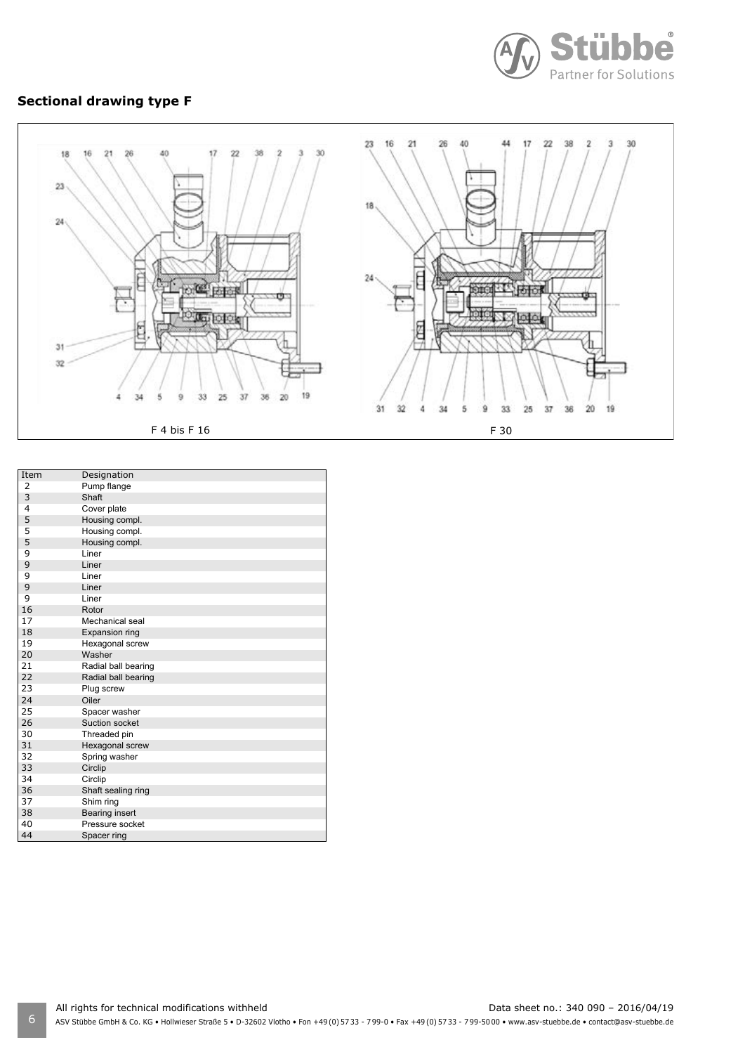

# **Sectional drawing type F**



| Item           | Designation         |
|----------------|---------------------|
| 2              | Pump flange         |
| 3              | Shaft               |
| $\overline{4}$ | Cover plate         |
| 5              | Housing compl.      |
| 5              | Housing compl.      |
| 5              | Housing compl.      |
| 9              | Liner               |
| 9              | Liner               |
| 9              | Liner               |
| 9              | Liner               |
| 9              | Liner               |
| 16             | Rotor               |
| 17             | Mechanical seal     |
| 18             | Expansion ring      |
| 19             | Hexagonal screw     |
| 20             | Washer              |
| 21             | Radial ball bearing |
| 22             | Radial ball bearing |
| 23             | Plug screw          |
| 24             | Oiler               |
| 25             | Spacer washer       |
| 26             | Suction socket      |
| 30             | Threaded pin        |
| 31             | Hexagonal screw     |
| 32             | Spring washer       |
| 33             | Circlip             |
| 34             | Circlip             |
| 36             | Shaft sealing ring  |
| 37             | Shim ring           |
| 38             | Bearing insert      |
| 40             | Pressure socket     |
| 44             | Spacer ring         |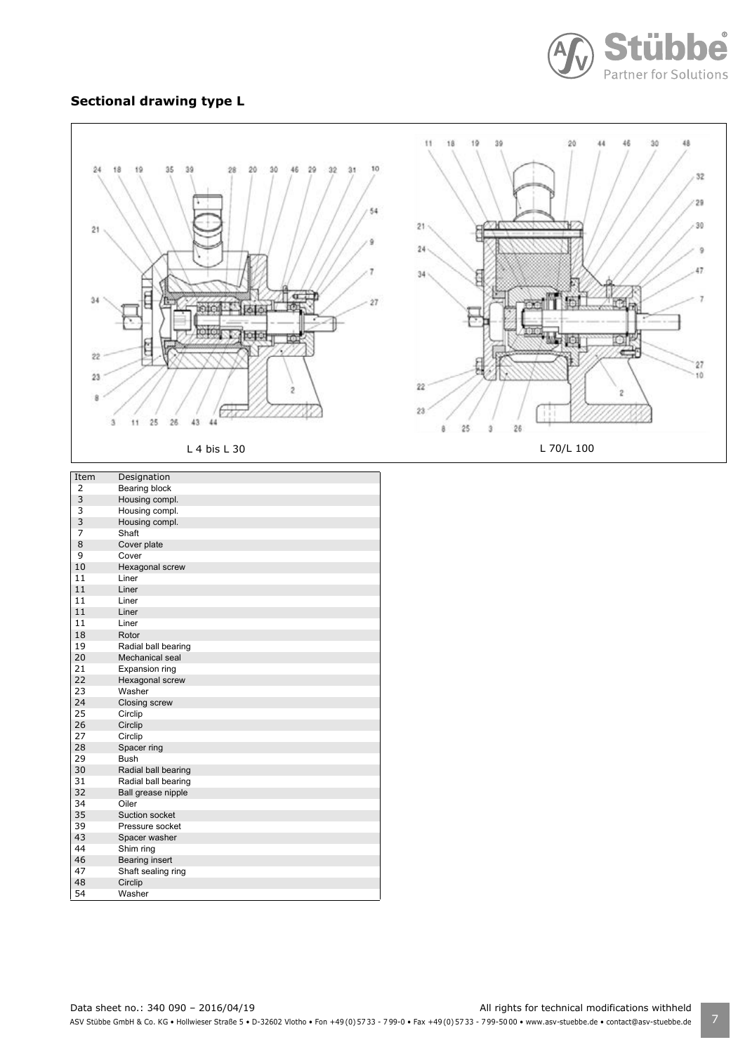

#### **Sectional drawing type L**

46 Bearing insert<br>47 Shaft sealing 47 Shaft sealing ring<br>48 Circlip 48 Circlip<br>54 Washe

Washer



ASV Stübbe GmbH & Co. KG • Hollwieser Straße 5 • D-32602 Vlotho • Fon +49 (0) 57 33 - 799-0 • Fax +49 (0) 57 33 - 799-50 00 • www.asv-stuebbe.de • contact@asv-stuebbe.de | 7 Data sheet no.: 340 090 - 2016/04/19 <br>
All rights for technical modifications withheld